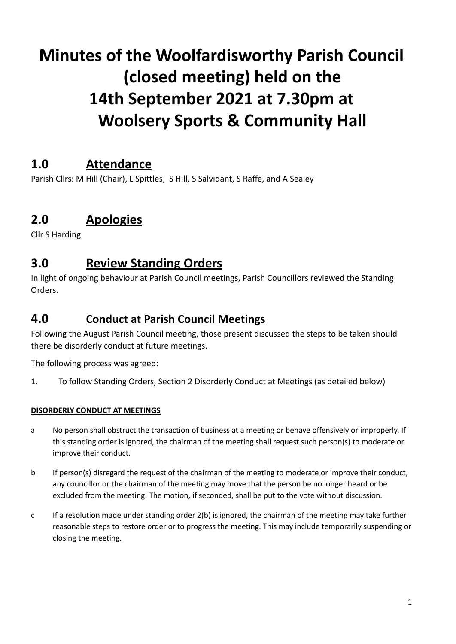# **Minutes of the Woolfardisworthy Parish Council (closed meeting) held on the 14th September 2021 at 7.30pm at Woolsery Sports & Community Hall**

# **1.0 Attendance**

Parish Cllrs: M Hill (Chair), L Spittles, S Hill, S Salvidant, S Raffe, and A Sealey

# **2.0 Apologies**

Cllr S Harding

### **3.0 Review Standing Orders**

In light of ongoing behaviour at Parish Council meetings, Parish Councillors reviewed the Standing Orders.

#### **4.0 Conduct at Parish Council Meetings**

Following the August Parish Council meeting, those present discussed the steps to be taken should there be disorderly conduct at future meetings.

The following process was agreed:

1. To follow Standing Orders, Section 2 Disorderly Conduct at Meetings (as detailed below)

#### **DISORDERLY CONDUCT AT MEETINGS**

- a No person shall obstruct the transaction of business at a meeting or behave offensively or improperly. If this standing order is ignored, the chairman of the meeting shall request such person(s) to moderate or improve their conduct.
- b If person(s) disregard the request of the chairman of the meeting to moderate or improve their conduct, any councillor or the chairman of the meeting may move that the person be no longer heard or be excluded from the meeting. The motion, if seconded, shall be put to the vote without discussion.
- c If a resolution made under standing order 2(b) is ignored, the chairman of the meeting may take further reasonable steps to restore order or to progress the meeting. This may include temporarily suspending or closing the meeting.